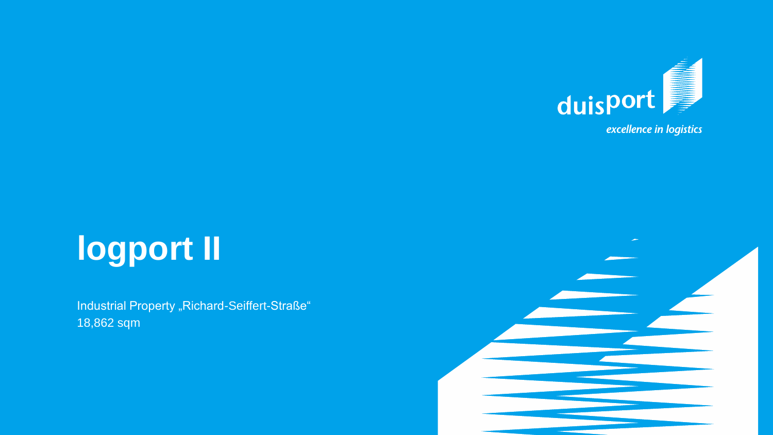

# **logport II**

Industrial Property "Richard-Seiffert-Straße" 18,862 sqm

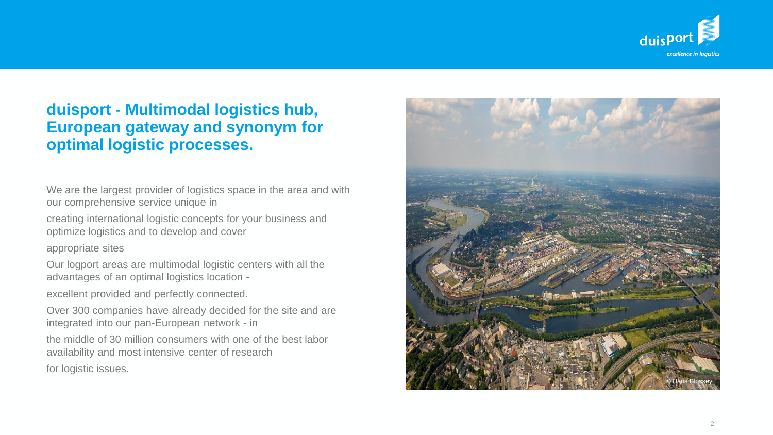

## **duisport - Multimodal logistics hub, European gateway and synonym for optimal logistic processes .**

We are the largest provider of logistics space in the area and with our comprehensive service unique in

creating international logistic concepts for your business and optimize logistics and to develop and cover

appropriate sites

Our logport areas are multimodal logistic centers with all the advantages of an optimal logistics location -

excellent provided and perfectly connected.

Over 300 companies have already decided for the site and are integrated into our pan -European network - in

the middle of 30 million consumers with one of the best labor availability and most intensive center of research for logistic issues.

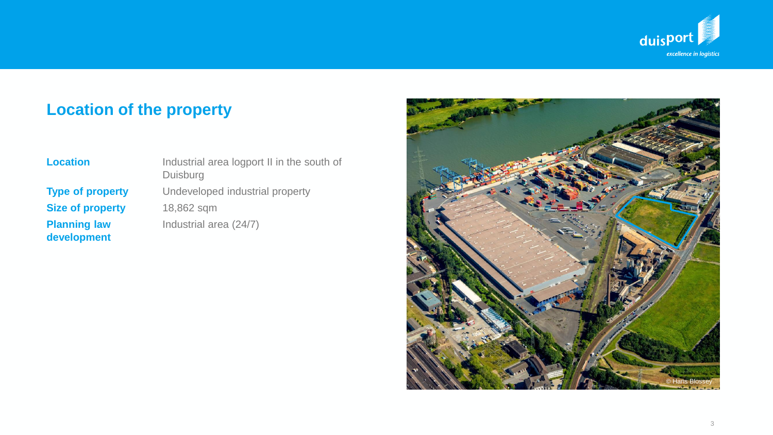

# **Location of the property**

| <b>Type of property</b> |
|-------------------------|
| <b>Size of property</b> |
| <b>Planning law</b>     |
| development             |

**Location** Industrial area logport II in the south of Duisburg Undeveloped industrial property **Size of property** 18,862 sqm **Industrial area (24/7)** 

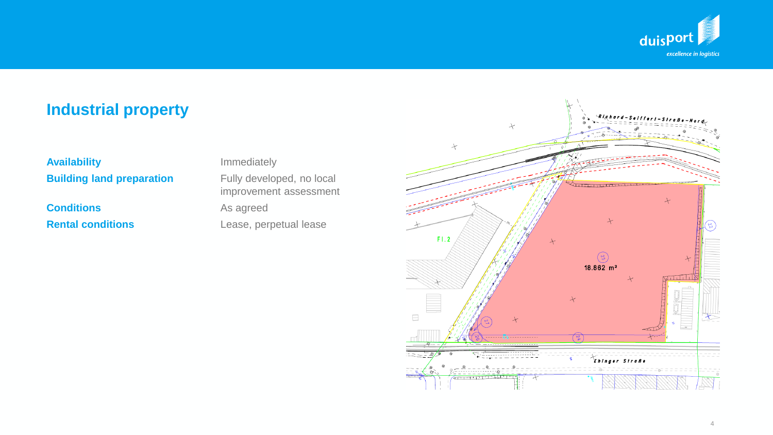

# **Industrial property**

## **Availability Immediately Building land preparation** Fully developed, no local

**Conditions** As agreed **Rental conditions** Lease, perpetual lease

improvement assessment

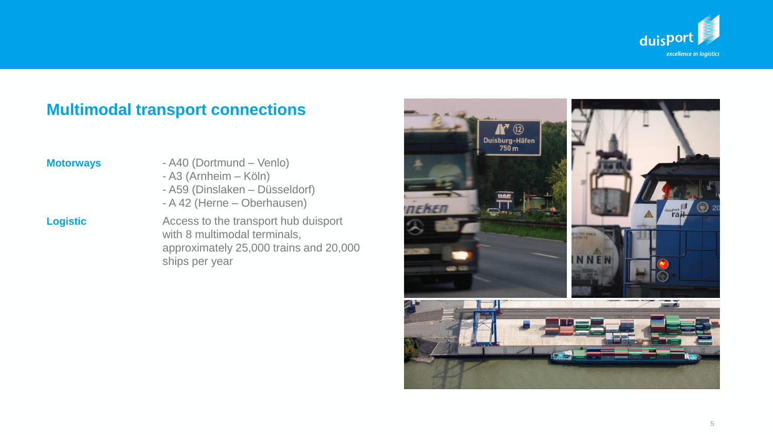

# **Multimodal transport connections**

- **Motorways** A40 (Dortmund Venlo)
	- A3 (Arnheim Köln)
	- A59 (Dinslaken Düsseldorf)
	- A 42 (Herne Oberhausen)

**Logistic Access to the transport hub duisport** with 8 multimodal terminals, approximately 25,000 trains and 20,000 ships per year